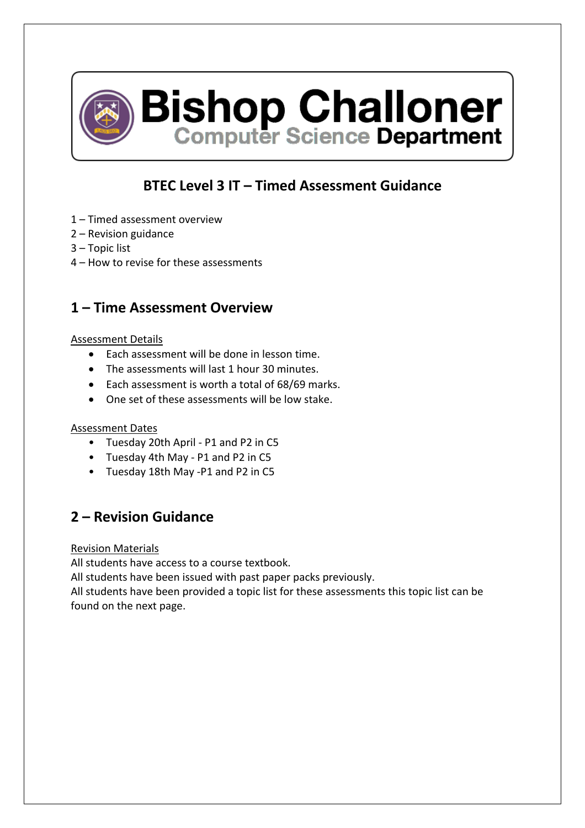

**Bishop Challoner**<br>Computer Science Department

## **BTEC Level 3 IT – Timed Assessment Guidance**

- 1 Timed assessment overview
- 2 Revision guidance
- 3 Topic list
- 4 How to revise for these assessments

### **1 – Time Assessment Overview**

### Assessment Details

- Each assessment will be done in lesson time.
- The assessments will last 1 hour 30 minutes.
- Each assessment is worth a total of 68/69 marks.
- One set of these assessments will be low stake.

### Assessment Dates

- Tuesday 20th April P1 and P2 in C5
- Tuesday 4th May P1 and P2 in C5
- Tuesday 18th May -P1 and P2 in C5

## **2 – Revision Guidance**

Revision Materials

All students have access to a course textbook.

All students have been issued with past paper packs previously.

All students have been provided a topic list for these assessments this topic list can be found on the next page.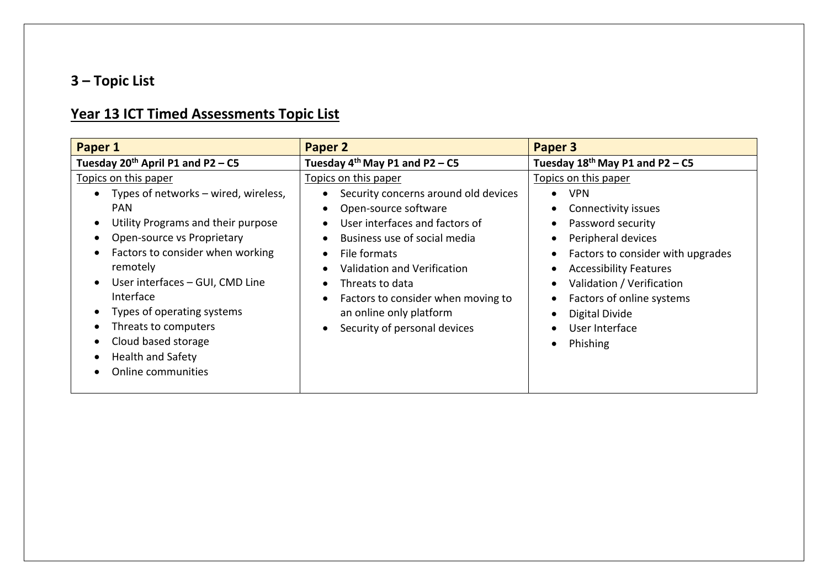# **3 – Topic List**

# **Year 13 ICT Timed Assessments Topic List**

| Paper 1                                                                                                                                                                                                                                                                                                                                                                       | Paper 2                                                                                                                                                                                                                                                                                                                                                                                                                                        | Paper 3                                                                                                                                                                                                                                                                                                                                                                                           |
|-------------------------------------------------------------------------------------------------------------------------------------------------------------------------------------------------------------------------------------------------------------------------------------------------------------------------------------------------------------------------------|------------------------------------------------------------------------------------------------------------------------------------------------------------------------------------------------------------------------------------------------------------------------------------------------------------------------------------------------------------------------------------------------------------------------------------------------|---------------------------------------------------------------------------------------------------------------------------------------------------------------------------------------------------------------------------------------------------------------------------------------------------------------------------------------------------------------------------------------------------|
| Tuesday 20 <sup>th</sup> April P1 and P2 – C5                                                                                                                                                                                                                                                                                                                                 | Tuesday $4^{th}$ May P1 and P2 – C5                                                                                                                                                                                                                                                                                                                                                                                                            | Tuesday $18^{th}$ May P1 and P2 – C5                                                                                                                                                                                                                                                                                                                                                              |
| Topics on this paper<br>Types of networks – wired, wireless,<br><b>PAN</b><br>Utility Programs and their purpose<br>Open-source vs Proprietary<br>Factors to consider when working<br>remotely<br>User interfaces - GUI, CMD Line<br>Interface<br>Types of operating systems<br>Threats to computers<br>Cloud based storage<br><b>Health and Safety</b><br>Online communities | Topics on this paper<br>Security concerns around old devices<br>$\bullet$<br>Open-source software<br>$\bullet$<br>User interfaces and factors of<br>$\bullet$<br>Business use of social media<br>$\bullet$<br>File formats<br>$\bullet$<br>Validation and Verification<br>$\bullet$<br>Threats to data<br>$\bullet$<br>Factors to consider when moving to<br>$\bullet$<br>an online only platform<br>Security of personal devices<br>$\bullet$ | Topics on this paper<br><b>VPN</b><br>$\bullet$<br>Connectivity issues<br>Password security<br>$\bullet$<br>Peripheral devices<br>$\bullet$<br>Factors to consider with upgrades<br>$\bullet$<br><b>Accessibility Features</b><br>٠<br>Validation / Verification<br>$\bullet$<br>Factors of online systems<br>$\bullet$<br>Digital Divide<br>User Interface<br>$\bullet$<br>Phishing<br>$\bullet$ |